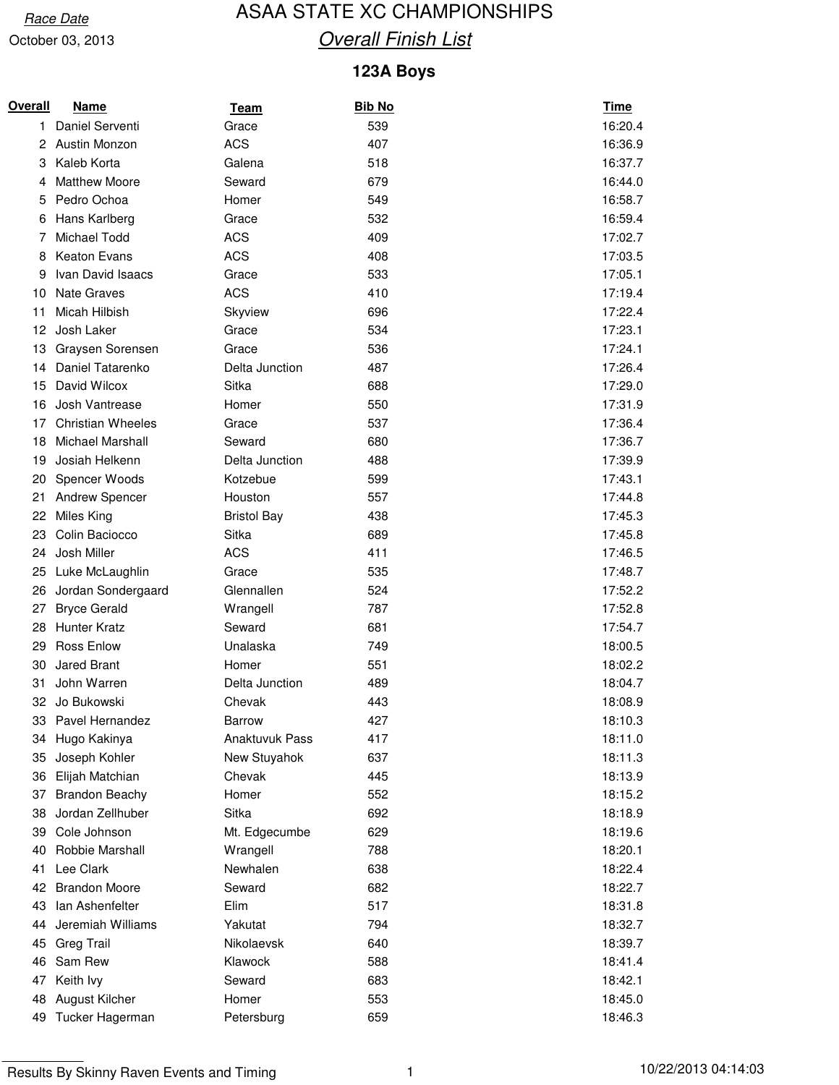### Race Date **ASAA STATE XC CHAMPIONSHIPS Overall Finish List**

#### **123A Boys**

| Overall | <b>Name</b>              | <b>Team</b>        | <u>Bib No</u> | <u>Time</u> |
|---------|--------------------------|--------------------|---------------|-------------|
| 1.      | Daniel Serventi          | Grace              | 539           | 16:20.4     |
| 2       | Austin Monzon            | <b>ACS</b>         | 407           | 16:36.9     |
| 3       | Kaleb Korta              | Galena             | 518           | 16:37.7     |
| 4       | <b>Matthew Moore</b>     | Seward             | 679           | 16:44.0     |
| 5       | Pedro Ochoa              | Homer              | 549           | 16:58.7     |
| 6       | Hans Karlberg            | Grace              | 532           | 16:59.4     |
| 7       | Michael Todd             | <b>ACS</b>         | 409           | 17:02.7     |
| 8       | <b>Keaton Evans</b>      | <b>ACS</b>         | 408           | 17:03.5     |
| 9       | Ivan David Isaacs        | Grace              | 533           | 17:05.1     |
| 10      | <b>Nate Graves</b>       | <b>ACS</b>         | 410           | 17:19.4     |
| 11      | Micah Hilbish            | Skyview            | 696           | 17:22.4     |
| 12      | Josh Laker               | Grace              | 534           | 17:23.1     |
| 13      | Graysen Sorensen         | Grace              | 536           | 17:24.1     |
| 14      | Daniel Tatarenko         | Delta Junction     | 487           | 17:26.4     |
| 15      | David Wilcox             | Sitka              | 688           | 17:29.0     |
| 16      | Josh Vantrease           | Homer              | 550           | 17:31.9     |
| 17      | <b>Christian Wheeles</b> | Grace              | 537           | 17:36.4     |
| 18      | Michael Marshall         | Seward             | 680           | 17:36.7     |
| 19      | Josiah Helkenn           | Delta Junction     | 488           | 17:39.9     |
| 20      | <b>Spencer Woods</b>     | Kotzebue           | 599           | 17:43.1     |
| 21      | <b>Andrew Spencer</b>    | Houston            | 557           | 17:44.8     |
| 22      | Miles King               | <b>Bristol Bay</b> | 438           | 17:45.3     |
| 23      | Colin Baciocco           | Sitka              | 689           | 17:45.8     |
| 24      | Josh Miller              | <b>ACS</b>         | 411           | 17:46.5     |
| 25      | Luke McLaughlin          | Grace              | 535           | 17:48.7     |
| 26      | Jordan Sondergaard       | Glennallen         | 524           | 17:52.2     |
| 27      | <b>Bryce Gerald</b>      | Wrangell           | 787           | 17:52.8     |
| 28      | <b>Hunter Kratz</b>      | Seward             | 681           | 17:54.7     |
| 29      | <b>Ross Enlow</b>        | Unalaska           | 749           | 18:00.5     |
| 30      | Jared Brant              | Homer              | 551           | 18:02.2     |
| 31      | John Warren              | Delta Junction     | 489           | 18:04.7     |
| 32      | Jo Bukowski              | Chevak             | 443           | 18:08.9     |
| 33      | Pavel Hernandez          | <b>Barrow</b>      | 427           | 18:10.3     |
| 34      | Hugo Kakinya             | Anaktuvuk Pass     | 417           | 18:11.0     |
| 35      | Joseph Kohler            | New Stuyahok       | 637           | 18:11.3     |
| 36      | Elijah Matchian          | Chevak             | 445           | 18:13.9     |
| 37      | <b>Brandon Beachy</b>    | Homer              | 552           | 18:15.2     |
| 38      | Jordan Zellhuber         | Sitka              | 692           | 18:18.9     |
| 39      | Cole Johnson             | Mt. Edgecumbe      | 629           | 18:19.6     |
| 40      | Robbie Marshall          | Wrangell           | 788           | 18:20.1     |
| 41      | Lee Clark                | Newhalen           | 638           | 18:22.4     |
| 42      | <b>Brandon Moore</b>     | Seward             | 682           | 18:22.7     |
| 43      | lan Ashenfelter          | Elim               | 517           | 18:31.8     |
| 44      | Jeremiah Williams        | Yakutat            | 794           | 18:32.7     |
| 45      | <b>Greg Trail</b>        | Nikolaevsk         | 640           | 18:39.7     |
| 46      | Sam Rew                  | Klawock            | 588           | 18:41.4     |
| 47      | Keith lvy                | Seward             | 683           | 18:42.1     |
| 48      | August Kilcher           | Homer              | 553           | 18:45.0     |
| 49      | Tucker Hagerman          | Petersburg         | 659           | 18:46.3     |

Results By Skinny Raven Events and Timing 1 1 1 1 1 10/22/2013 04:14:03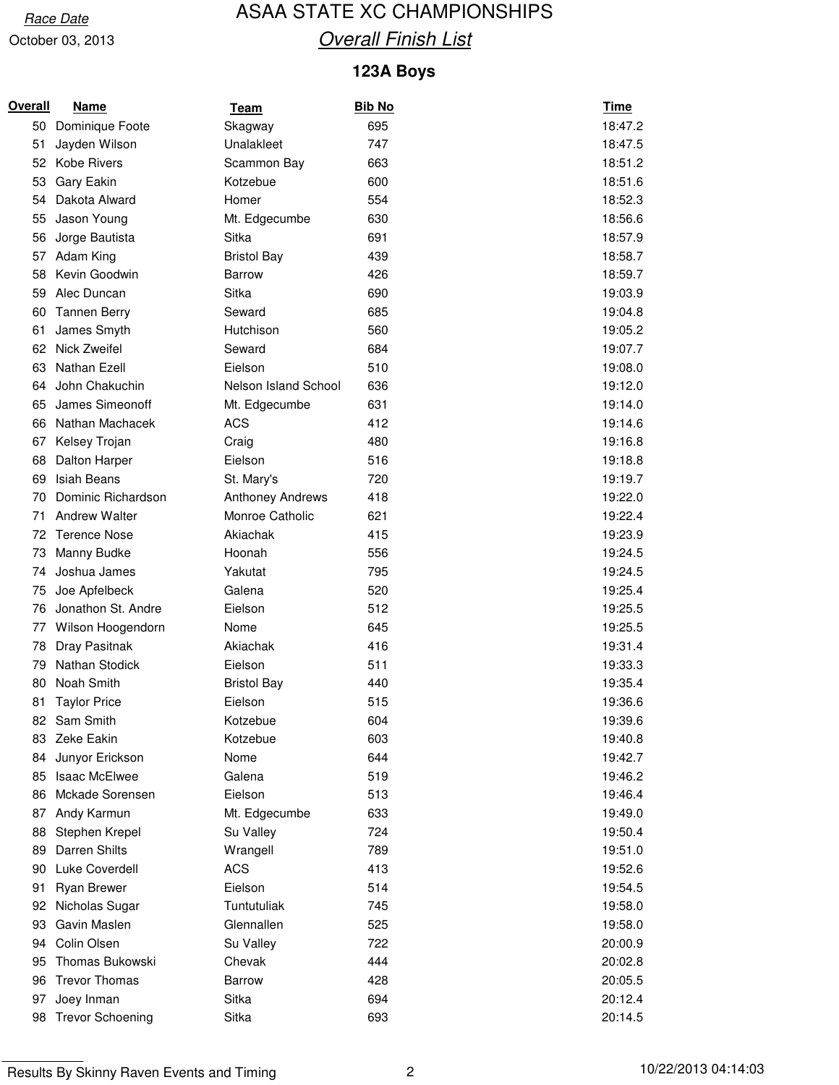### Race Date **ASAA STATE XC CHAMPIONSHIPS Overall Finish List**

#### **123A Boys**

| Overall | <u>Name</u>             | <u>Team</u>             | <b>Bib No</b> | <b>Time</b> |
|---------|-------------------------|-------------------------|---------------|-------------|
| 50      | Dominique Foote         | Skagway                 | 695           | 18:47.2     |
| 51      | Jayden Wilson           | Unalakleet              | 747           | 18:47.5     |
| 52      | <b>Kobe Rivers</b>      | Scammon Bay             | 663           | 18:51.2     |
| 53      | Gary Eakin              | Kotzebue                | 600           | 18:51.6     |
| 54      | Dakota Alward           | Homer                   | 554           | 18:52.3     |
| 55      | Jason Young             | Mt. Edgecumbe           | 630           | 18:56.6     |
| 56      | Jorge Bautista          | Sitka                   | 691           | 18:57.9     |
| 57      | Adam King               | <b>Bristol Bay</b>      | 439           | 18:58.7     |
| 58      | Kevin Goodwin           | Barrow                  | 426           | 18:59.7     |
| 59      | Alec Duncan             | Sitka                   | 690           | 19:03.9     |
| 60      | <b>Tannen Berry</b>     | Seward                  | 685           | 19:04.8     |
| 61      | James Smyth             | Hutchison               | 560           | 19:05.2     |
| 62      | Nick Zweifel            | Seward                  | 684           | 19:07.7     |
| 63      | Nathan Ezell            | Eielson                 | 510           | 19:08.0     |
| 64      | John Chakuchin          | Nelson Island School    | 636           | 19:12.0     |
| 65      | James Simeonoff         | Mt. Edgecumbe           | 631           | 19:14.0     |
| 66      | Nathan Machacek         | <b>ACS</b>              | 412           | 19:14.6     |
| 67      | Kelsey Trojan           | Craig                   | 480           | 19:16.8     |
| 68      | Dalton Harper           | Eielson                 | 516           | 19:18.8     |
| 69      | <b>Isiah Beans</b>      | St. Mary's              | 720           | 19:19.7     |
| 70      | Dominic Richardson      | <b>Anthoney Andrews</b> | 418           | 19:22.0     |
| 71      | <b>Andrew Walter</b>    | Monroe Catholic         | 621           | 19:22.4     |
| 72      | <b>Terence Nose</b>     | Akiachak                | 415           | 19:23.9     |
| 73      | Manny Budke             | Hoonah                  | 556           | 19:24.5     |
| 74      | Joshua James            | Yakutat                 | 795           | 19:24.5     |
| 75      | Joe Apfelbeck           | Galena                  | 520           | 19:25.4     |
| 76      | Jonathon St. Andre      | Eielson                 | 512           | 19:25.5     |
| 77      | Wilson Hoogendorn       | Nome                    | 645           | 19:25.5     |
| 78      | Dray Pasitnak           | Akiachak                | 416           | 19:31.4     |
| 79      | Nathan Stodick          | Eielson                 | 511           | 19:33.3     |
| 80      | Noah Smith              | <b>Bristol Bay</b>      | 440           | 19:35.4     |
| 81      | <b>Taylor Price</b>     | Eielson                 | 515           | 19:36.6     |
|         | 82 Sam Smith            | Kotzebue                | 604           | 19:39.6     |
| 83      | Zeke Eakin              | Kotzebue                | 603           | 19:40.8     |
| 84      | Junyor Erickson         | Nome                    | 644           | 19:42.7     |
| 85      | <b>Isaac McElwee</b>    | Galena                  | 519           | 19:46.2     |
| 86      | Mckade Sorensen         | Eielson                 | 513           | 19:46.4     |
| 87      | Andy Karmun             | Mt. Edgecumbe           | 633           | 19:49.0     |
| 88      | Stephen Krepel          | Su Valley               | 724           | 19:50.4     |
| 89      | Darren Shilts           | Wrangell                | 789           | 19:51.0     |
| 90      | Luke Coverdell          | <b>ACS</b>              | 413           | 19:52.6     |
| 91      | Ryan Brewer             | Eielson                 | 514           | 19:54.5     |
| 92      | Nicholas Sugar          | Tuntutuliak             | 745           | 19:58.0     |
| 93      | Gavin Maslen            | Glennallen              | 525           | 19:58.0     |
| 94      | Colin Olsen             | Su Valley               | 722           | 20:00.9     |
| 95      | Thomas Bukowski         | Chevak                  | 444           | 20:02.8     |
| 96      | <b>Trevor Thomas</b>    | Barrow                  | 428           | 20:05.5     |
| 97      | Joey Inman              | Sitka                   | 694           | 20:12.4     |
| 98      | <b>Trevor Schoening</b> | Sitka                   | 693           | 20:14.5     |

Results By Skinny Raven Events and Timing 2 2 10/22/2013 04:14:03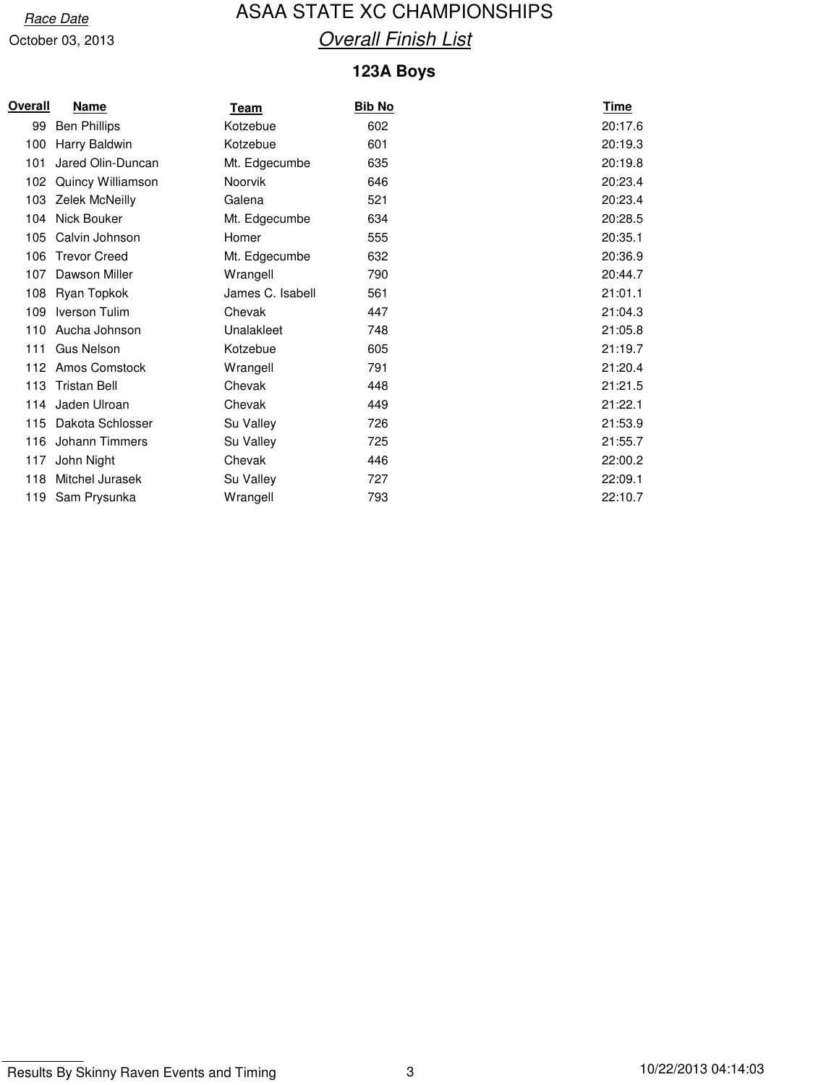### Race Date **ASAA STATE XC CHAMPIONSHIPS Overall Finish List**

#### **123A Boys**

| Overall | <u>Name</u>         | Team             | <b>Bib No</b> | <u>Time</u> |
|---------|---------------------|------------------|---------------|-------------|
| 99      | <b>Ben Phillips</b> | Kotzebue         | 602           | 20:17.6     |
| 100     | Harry Baldwin       | Kotzebue         | 601           | 20:19.3     |
| 101     | Jared Olin-Duncan   | Mt. Edgecumbe    | 635           | 20:19.8     |
| 102     | Quincy Williamson   | Noorvik          | 646           | 20:23.4     |
| 103     | Zelek McNeilly      | Galena           | 521           | 20:23.4     |
| 104     | Nick Bouker         | Mt. Edgecumbe    | 634           | 20:28.5     |
| 105     | Calvin Johnson      | Homer            | 555           | 20:35.1     |
| 106     | <b>Trevor Creed</b> | Mt. Edgecumbe    | 632           | 20:36.9     |
| 107     | Dawson Miller       | Wrangell         | 790           | 20:44.7     |
| 108     | Ryan Topkok         | James C. Isabell | 561           | 21:01.1     |
| 109     | Iverson Tulim       | Chevak           | 447           | 21:04.3     |
| 110     | Aucha Johnson       | Unalakleet       | 748           | 21:05.8     |
| 111     | <b>Gus Nelson</b>   | Kotzebue         | 605           | 21:19.7     |
| 112     | Amos Comstock       | Wrangell         | 791           | 21:20.4     |
| 113     | <b>Tristan Bell</b> | Chevak           | 448           | 21:21.5     |
| 114     | Jaden Ulroan        | Chevak           | 449           | 21:22.1     |
| 115     | Dakota Schlosser    | Su Valley        | 726           | 21:53.9     |
| 116     | Johann Timmers      | Su Valley        | 725           | 21:55.7     |
| 117     | John Night          | Chevak           | 446           | 22:00.2     |
| 118     | Mitchel Jurasek     | Su Valley        | 727           | 22:09.1     |
| 119     | Sam Prysunka        | Wrangell         | 793           | 22:10.7     |

Results By Skinny Raven Events and Timing 3 10/22/2013 04:14:03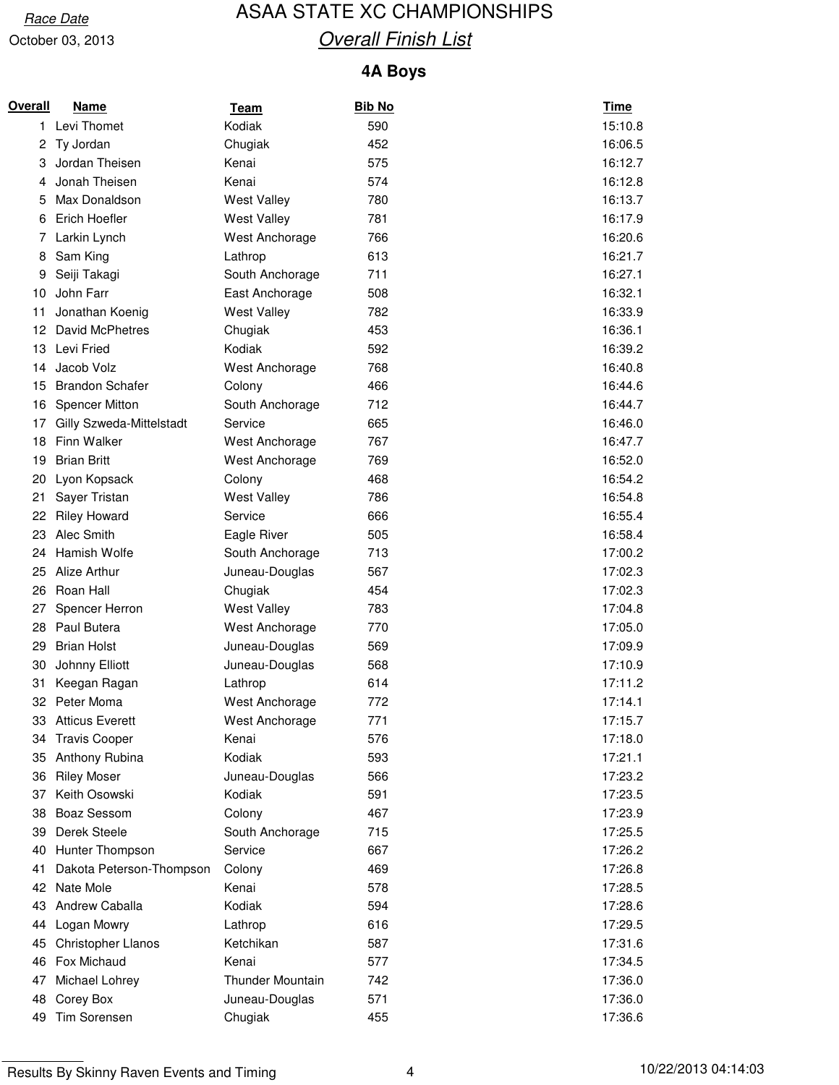### Race Date **ASAA STATE XC CHAMPIONSHIPS Overall Finish List**

#### **4A Boys**

| Overall | Name                     | <u>Team</u>             | <b>Bib No</b> | <b>Time</b> |
|---------|--------------------------|-------------------------|---------------|-------------|
| 1.      | Levi Thomet              | Kodiak                  | 590           | 15:10.8     |
| 2       | Ty Jordan                | Chugiak                 | 452           | 16:06.5     |
| 3       | Jordan Theisen           | Kenai                   | 575           | 16:12.7     |
| 4       | Jonah Theisen            | Kenai                   | 574           | 16:12.8     |
| 5       | Max Donaldson            | <b>West Valley</b>      | 780           | 16:13.7     |
| 6       | Erich Hoefler            | West Valley             | 781           | 16:17.9     |
| 7       | Larkin Lynch             | West Anchorage          | 766           | 16:20.6     |
| 8       | Sam King                 | Lathrop                 | 613           | 16:21.7     |
| 9       | Seiji Takagi             | South Anchorage         | 711           | 16:27.1     |
| 10      | John Farr                | East Anchorage          | 508           | 16:32.1     |
| 11      | Jonathan Koenig          | <b>West Valley</b>      | 782           | 16:33.9     |
| 12      | David McPhetres          | Chugiak                 | 453           | 16:36.1     |
| 13      | Levi Fried               | Kodiak                  | 592           | 16:39.2     |
| 14      | Jacob Volz               | West Anchorage          | 768           | 16:40.8     |
| 15      | <b>Brandon Schafer</b>   | Colony                  | 466           | 16:44.6     |
| 16      | <b>Spencer Mitton</b>    | South Anchorage         | 712           | 16:44.7     |
| 17      | Gilly Szweda-Mittelstadt | Service                 | 665           | 16:46.0     |
| 18      | Finn Walker              | West Anchorage          | 767           | 16:47.7     |
| 19      | <b>Brian Britt</b>       | West Anchorage          | 769           | 16:52.0     |
| 20      | Lyon Kopsack             | Colony                  | 468           | 16:54.2     |
| 21      | Sayer Tristan            | <b>West Valley</b>      | 786           | 16:54.8     |
| 22      | <b>Riley Howard</b>      | Service                 | 666           | 16:55.4     |
| 23      | Alec Smith               | Eagle River             | 505           | 16:58.4     |
| 24      | Hamish Wolfe             | South Anchorage         | 713           | 17:00.2     |
| 25      | Alize Arthur             | Juneau-Douglas          | 567           | 17:02.3     |
| 26      | Roan Hall                | Chugiak                 | 454           | 17:02.3     |
| 27      | Spencer Herron           | <b>West Valley</b>      | 783           | 17:04.8     |
| 28      | Paul Butera              | West Anchorage          | 770           | 17:05.0     |
| 29      | <b>Brian Holst</b>       | Juneau-Douglas          | 569           | 17:09.9     |
| 30      | Johnny Elliott           | Juneau-Douglas          | 568           | 17:10.9     |
| 31      | Keegan Ragan             | Lathrop                 | 614           | 17:11.2     |
| 32      | Peter Moma               | West Anchorage          | 772           | 17:14.1     |
| 33      | <b>Atticus Everett</b>   | West Anchorage          | 771           | 17:15.7     |
| 34      | <b>Travis Cooper</b>     | Kenai                   | 576           | 17:18.0     |
| 35      | Anthony Rubina           | Kodiak                  | 593           | 17:21.1     |
| 36      | <b>Riley Moser</b>       | Juneau-Douglas          | 566           | 17:23.2     |
| 37      | Keith Osowski            | Kodiak                  | 591           | 17:23.5     |
| 38      | <b>Boaz Sessom</b>       | Colony                  | 467           | 17:23.9     |
| 39      | Derek Steele             | South Anchorage         | 715           | 17:25.5     |
| 40      | Hunter Thompson          | Service                 | 667           | 17:26.2     |
| 41      | Dakota Peterson-Thompson | Colony                  | 469           | 17:26.8     |
| 42      | Nate Mole                | Kenai                   | 578           | 17:28.5     |
| 43      | Andrew Caballa           | Kodiak                  | 594           | 17:28.6     |
| 44      | Logan Mowry              | Lathrop                 | 616           | 17:29.5     |
| 45      | Christopher Llanos       | Ketchikan               | 587           | 17:31.6     |
| 46      | Fox Michaud              | Kenai                   | 577           | 17:34.5     |
| 47      | Michael Lohrey           | <b>Thunder Mountain</b> | 742           | 17:36.0     |
| 48      | Corey Box                | Juneau-Douglas          | 571           | 17:36.0     |
| 49      | Tim Sorensen             | Chugiak                 | 455           | 17:36.6     |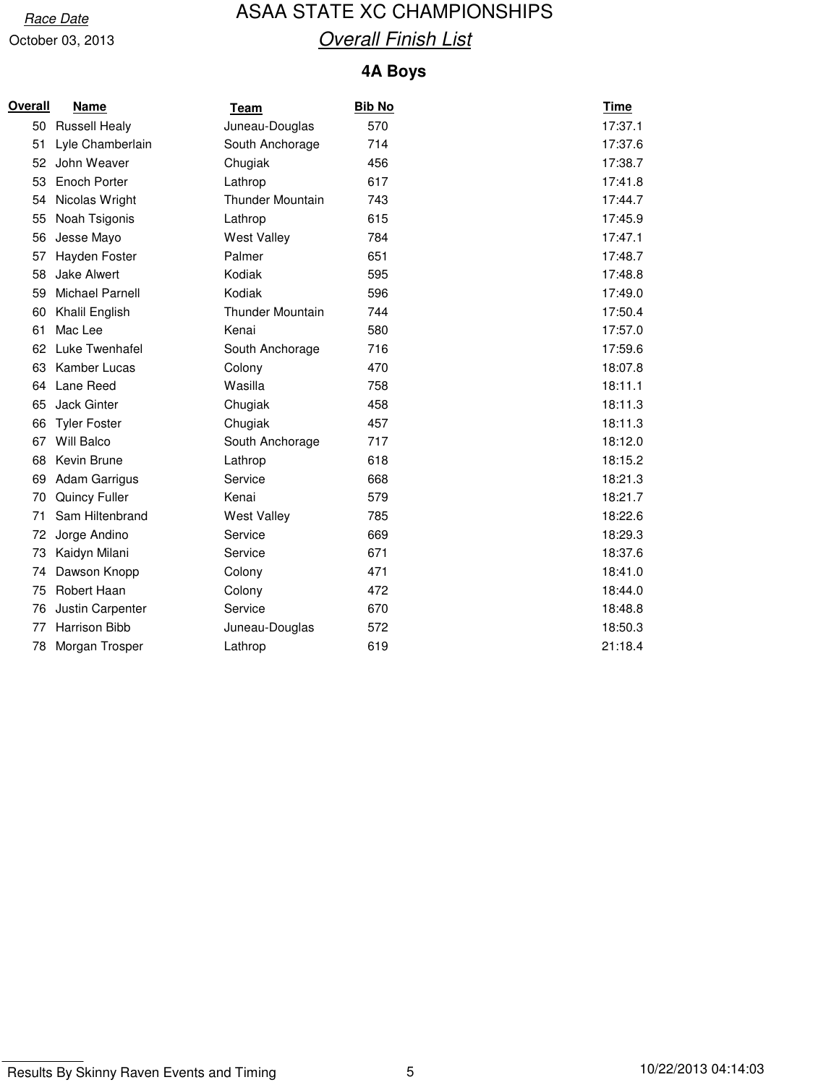### Race Date **ASAA STATE XC CHAMPIONSHIPS Overall Finish List**

#### **4A Boys**

| Overall | <b>Name</b>          | <u>Team</u>             | <b>Bib No</b> | <b>Time</b> |
|---------|----------------------|-------------------------|---------------|-------------|
| 50      | <b>Russell Healy</b> | Juneau-Douglas          | 570           | 17:37.1     |
| 51      | Lyle Chamberlain     | South Anchorage         | 714           | 17:37.6     |
| 52      | John Weaver          | Chugiak                 | 456           | 17:38.7     |
| 53      | <b>Enoch Porter</b>  | Lathrop                 | 617           | 17:41.8     |
| 54      | Nicolas Wright       | <b>Thunder Mountain</b> | 743           | 17:44.7     |
| 55      | Noah Tsigonis        | Lathrop                 | 615           | 17:45.9     |
| 56      | Jesse Mayo           | <b>West Valley</b>      | 784           | 17:47.1     |
| 57      | Hayden Foster        | Palmer                  | 651           | 17:48.7     |
| 58      | <b>Jake Alwert</b>   | Kodiak                  | 595           | 17:48.8     |
| 59      | Michael Parnell      | Kodiak                  | 596           | 17:49.0     |
| 60      | Khalil English       | <b>Thunder Mountain</b> | 744           | 17:50.4     |
| 61      | Mac Lee              | Kenai                   | 580           | 17:57.0     |
| 62      | Luke Twenhafel       | South Anchorage         | 716           | 17:59.6     |
| 63      | Kamber Lucas         | Colony                  | 470           | 18:07.8     |
| 64      | Lane Reed            | Wasilla                 | 758           | 18:11.1     |
| 65      | Jack Ginter          | Chugiak                 | 458           | 18:11.3     |
| 66      | <b>Tyler Foster</b>  | Chugiak                 | 457           | 18:11.3     |
| 67      | <b>Will Balco</b>    | South Anchorage         | 717           | 18:12.0     |
| 68      | Kevin Brune          | Lathrop                 | 618           | 18:15.2     |
| 69      | <b>Adam Garrigus</b> | Service                 | 668           | 18:21.3     |
| 70      | Quincy Fuller        | Kenai                   | 579           | 18:21.7     |
| 71      | Sam Hiltenbrand      | <b>West Valley</b>      | 785           | 18:22.6     |
| 72      | Jorge Andino         | Service                 | 669           | 18:29.3     |
| 73      | Kaidyn Milani        | Service                 | 671           | 18:37.6     |
| 74      | Dawson Knopp         | Colony                  | 471           | 18:41.0     |
| 75      | Robert Haan          | Colony                  | 472           | 18:44.0     |
| 76      | Justin Carpenter     | Service                 | 670           | 18:48.8     |
| 77      | <b>Harrison Bibb</b> | Juneau-Douglas          | 572           | 18:50.3     |
| 78      | Morgan Trosper       | Lathrop                 | 619           | 21:18.4     |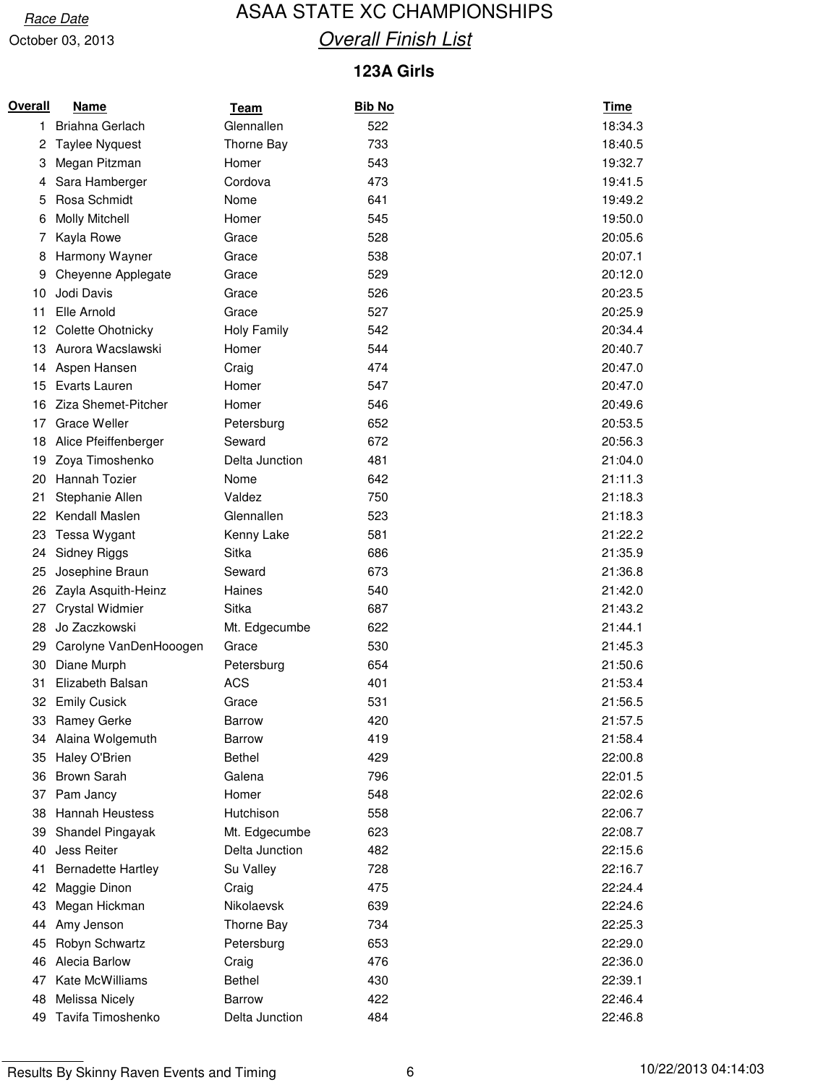### Race Date **ASAA STATE XC CHAMPIONSHIPS Overall Finish List**

#### **123A Girls**

| Overall | <b>Name</b>               | <u>Team</u>        | <b>Bib No</b> | <b>Time</b> |
|---------|---------------------------|--------------------|---------------|-------------|
| 1.      | Briahna Gerlach           | Glennallen         | 522           | 18:34.3     |
| 2       | <b>Taylee Nyquest</b>     | Thorne Bay         | 733           | 18:40.5     |
| 3       | Megan Pitzman             | Homer              | 543           | 19:32.7     |
| 4       | Sara Hamberger            | Cordova            | 473           | 19:41.5     |
| 5       | Rosa Schmidt              | Nome               | 641           | 19:49.2     |
| 6       | <b>Molly Mitchell</b>     | Homer              | 545           | 19:50.0     |
| 7       | Kayla Rowe                | Grace              | 528           | 20:05.6     |
| 8       | Harmony Wayner            | Grace              | 538           | 20:07.1     |
| 9       | Cheyenne Applegate        | Grace              | 529           | 20:12.0     |
| 10      | Jodi Davis                | Grace              | 526           | 20:23.5     |
| 11      | Elle Arnold               | Grace              | 527           | 20:25.9     |
| 12      | Colette Ohotnicky         | <b>Holy Family</b> | 542           | 20:34.4     |
| 13      | Aurora Wacslawski         | Homer              | 544           | 20:40.7     |
| 14      | Aspen Hansen              | Craig              | 474           | 20:47.0     |
| 15      | Evarts Lauren             | Homer              | 547           | 20:47.0     |
| 16      | Ziza Shemet-Pitcher       | Homer              | 546           | 20:49.6     |
| 17      | Grace Weller              | Petersburg         | 652           | 20:53.5     |
| 18      | Alice Pfeiffenberger      | Seward             | 672           | 20:56.3     |
| 19      | Zoya Timoshenko           | Delta Junction     | 481           | 21:04.0     |
| 20      | Hannah Tozier             | Nome               | 642           | 21:11.3     |
| 21      | Stephanie Allen           | Valdez             | 750           | 21:18.3     |
| 22      | Kendall Maslen            | Glennallen         | 523           | 21:18.3     |
| 23      | Tessa Wygant              | Kenny Lake         | 581           | 21:22.2     |
| 24      | <b>Sidney Riggs</b>       | Sitka              | 686           | 21:35.9     |
| 25      | Josephine Braun           | Seward             | 673           | 21:36.8     |
| 26      | Zayla Asquith-Heinz       | Haines             | 540           | 21:42.0     |
| 27      | <b>Crystal Widmier</b>    | Sitka              | 687           | 21:43.2     |
| 28      | Jo Zaczkowski             | Mt. Edgecumbe      | 622           | 21:44.1     |
| 29      | Carolyne VanDenHooogen    | Grace              | 530           | 21:45.3     |
| 30      | Diane Murph               | Petersburg         | 654           | 21:50.6     |
| 31      | Elizabeth Balsan          | <b>ACS</b>         | 401           | 21:53.4     |
| 32      | <b>Emily Cusick</b>       | Grace              | 531           | 21:56.5     |
| 33      | <b>Ramey Gerke</b>        | <b>Barrow</b>      | 420           | 21:57.5     |
| 34      | Alaina Wolgemuth          | <b>Barrow</b>      | 419           | 21:58.4     |
| 35      | Haley O'Brien             | <b>Bethel</b>      | 429           | 22:00.8     |
| 36      | <b>Brown Sarah</b>        | Galena             | 796           | 22:01.5     |
| 37      | Pam Jancy                 | Homer              | 548           | 22:02.6     |
| 38      | <b>Hannah Heustess</b>    | Hutchison          | 558           | 22:06.7     |
| 39      | Shandel Pingayak          | Mt. Edgecumbe      | 623           | 22:08.7     |
| 40      | Jess Reiter               | Delta Junction     | 482           | 22:15.6     |
| 41      | <b>Bernadette Hartley</b> | Su Valley          | 728           | 22:16.7     |
| 42      | Maggie Dinon              | Craig              | 475           | 22:24.4     |
| 43      | Megan Hickman             | Nikolaevsk         | 639           | 22:24.6     |
| 44      | Amy Jenson                | Thorne Bay         | 734           | 22:25.3     |
| 45      | Robyn Schwartz            | Petersburg         | 653           | 22:29.0     |
| 46      | Alecia Barlow             | Craig              | 476           | 22:36.0     |
| 47      | Kate McWilliams           | <b>Bethel</b>      | 430           | 22:39.1     |
| 48      | Melissa Nicely            | <b>Barrow</b>      | 422           | 22:46.4     |
| 49      | Tavifa Timoshenko         | Delta Junction     | 484           | 22:46.8     |

Results By Skinny Raven Events and Timing 6 10/22/2013 04:14:03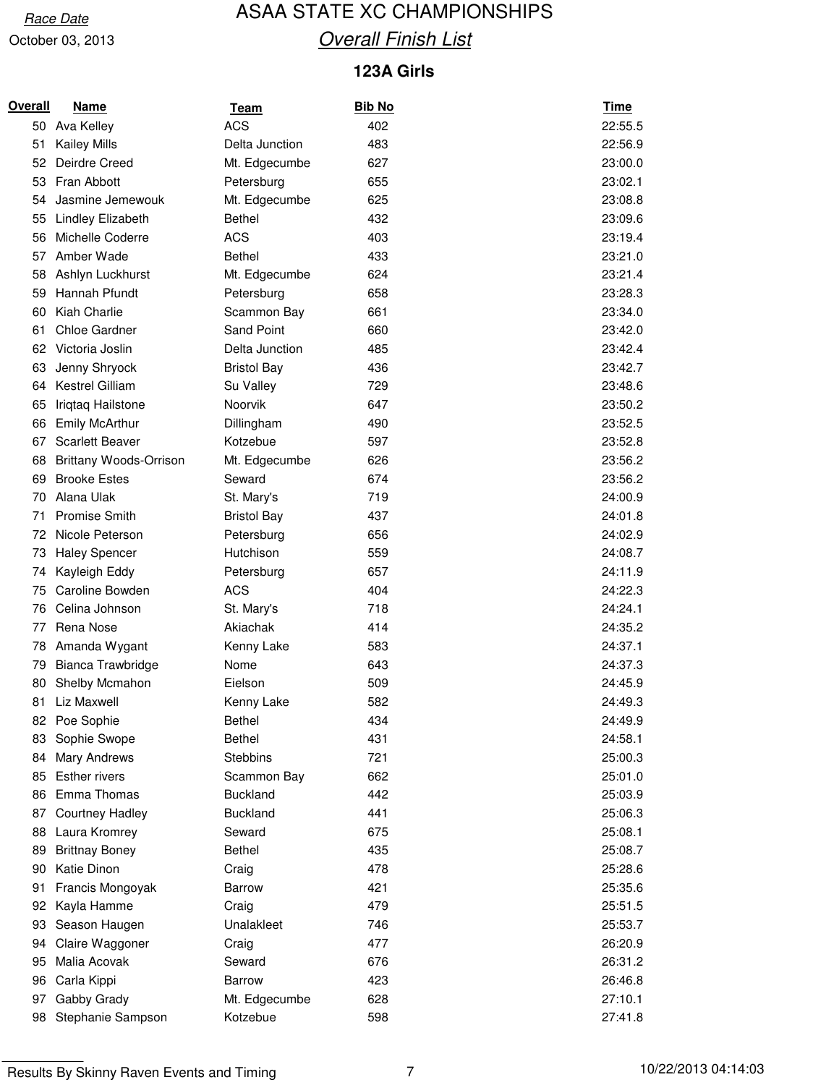### Race Date **ASAA STATE XC CHAMPIONSHIPS Overall Finish List**

#### **123A Girls**

| Overall | <b>Name</b>                   | <u>Team</u>        | <b>Bib No</b> | <u>Time</u> |
|---------|-------------------------------|--------------------|---------------|-------------|
| 50      | Ava Kelley                    | <b>ACS</b>         | 402           | 22:55.5     |
| 51      | <b>Kailey Mills</b>           | Delta Junction     | 483           | 22:56.9     |
| 52      | Deirdre Creed                 | Mt. Edgecumbe      | 627           | 23:00.0     |
| 53      | Fran Abbott                   | Petersburg         | 655           | 23:02.1     |
| 54      | Jasmine Jemewouk              | Mt. Edgecumbe      | 625           | 23:08.8     |
| 55      | <b>Lindley Elizabeth</b>      | <b>Bethel</b>      | 432           | 23:09.6     |
| 56      | Michelle Coderre              | <b>ACS</b>         | 403           | 23:19.4     |
| 57      | Amber Wade                    | <b>Bethel</b>      | 433           | 23:21.0     |
| 58      | Ashlyn Luckhurst              | Mt. Edgecumbe      | 624           | 23:21.4     |
| 59      | Hannah Pfundt                 | Petersburg         | 658           | 23:28.3     |
| 60      | Kiah Charlie                  | Scammon Bay        | 661           | 23:34.0     |
| 61      | <b>Chloe Gardner</b>          | <b>Sand Point</b>  | 660           | 23:42.0     |
| 62      | Victoria Joslin               | Delta Junction     | 485           | 23:42.4     |
| 63      | Jenny Shryock                 | <b>Bristol Bay</b> | 436           | 23:42.7     |
| 64      | Kestrel Gilliam               | Su Valley          | 729           | 23:48.6     |
| 65      | Iriqtaq Hailstone             | Noorvik            | 647           | 23:50.2     |
| 66      | <b>Emily McArthur</b>         | Dillingham         | 490           | 23:52.5     |
| 67      | <b>Scarlett Beaver</b>        | Kotzebue           | 597           | 23:52.8     |
| 68      | <b>Brittany Woods-Orrison</b> | Mt. Edgecumbe      | 626           | 23:56.2     |
| 69      | <b>Brooke Estes</b>           | Seward             | 674           | 23:56.2     |
| 70      | Alana Ulak                    | St. Mary's         | 719           | 24:00.9     |
| 71      | <b>Promise Smith</b>          | <b>Bristol Bay</b> | 437           | 24:01.8     |
| 72      | Nicole Peterson               | Petersburg         | 656           | 24:02.9     |
| 73      | <b>Haley Spencer</b>          | Hutchison          | 559           | 24:08.7     |
| 74      | Kayleigh Eddy                 | Petersburg         | 657           | 24:11.9     |
| 75      | Caroline Bowden               | <b>ACS</b>         | 404           | 24:22.3     |
| 76      | Celina Johnson                | St. Mary's         | 718           | 24:24.1     |
| 77      | Rena Nose                     | Akiachak           | 414           | 24:35.2     |
| 78      | Amanda Wygant                 | Kenny Lake         | 583           | 24:37.1     |
| 79      | Bianca Trawbridge             | Nome               | 643           | 24:37.3     |
| 80      | Shelby Mcmahon                | Eielson            | 509           | 24:45.9     |
| 81      | Liz Maxwell                   | Kenny Lake         | 582           | 24:49.3     |
| 82      | Poe Sophie                    | Bethel             | 434           | 24:49.9     |
| 83      | Sophie Swope                  | <b>Bethel</b>      | 431           | 24:58.1     |
| 84      | Mary Andrews                  | <b>Stebbins</b>    | 721           | 25:00.3     |
| 85      | <b>Esther rivers</b>          | Scammon Bay        | 662           | 25:01.0     |
| 86      | Emma Thomas                   | <b>Buckland</b>    | 442           | 25:03.9     |
| 87      | <b>Courtney Hadley</b>        | <b>Buckland</b>    | 441           | 25:06.3     |
| 88      | Laura Kromrey                 | Seward             | 675           | 25:08.1     |
| 89      | <b>Brittnay Boney</b>         | <b>Bethel</b>      | 435           | 25:08.7     |
| 90      | Katie Dinon                   | Craig              | 478           | 25:28.6     |
| 91      | Francis Mongoyak              | <b>Barrow</b>      | 421           | 25:35.6     |
| 92      | Kayla Hamme                   | Craig              | 479           | 25:51.5     |
| 93      | Season Haugen                 | Unalakleet         | 746           | 25:53.7     |
| 94      | Claire Waggoner               | Craig              | 477           | 26:20.9     |
| 95      | Malia Acovak                  | Seward             | 676           | 26:31.2     |
| 96      | Carla Kippi                   | Barrow             | 423           | 26:46.8     |
| 97      | Gabby Grady                   | Mt. Edgecumbe      | 628           | 27:10.1     |
| 98      | Stephanie Sampson             | Kotzebue           | 598           | 27:41.8     |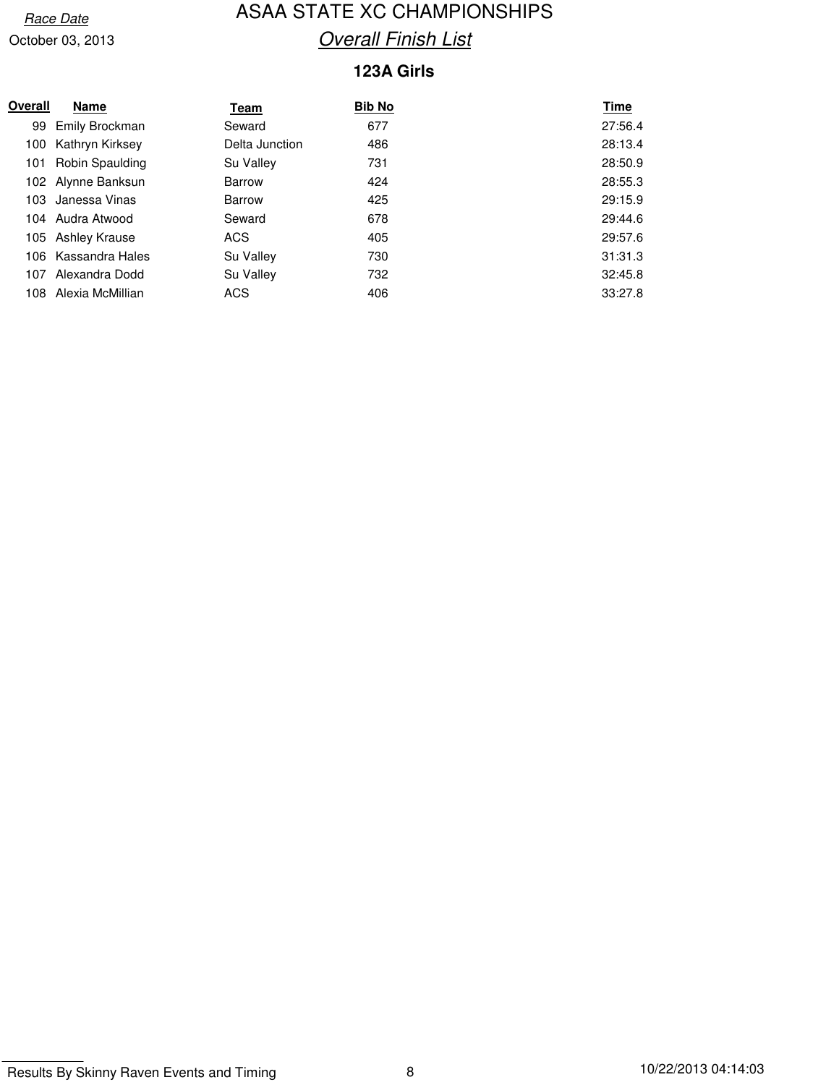### Race Date **ASAA STATE XC CHAMPIONSHIPS Overall Finish List**

#### **123A Girls**

| Overall | <b>Name</b>          | Team           | <b>Bib No</b> | Time    |
|---------|----------------------|----------------|---------------|---------|
|         | 99 Emily Brockman    | Seward         | 677           | 27:56.4 |
|         | 100 Kathryn Kirksey  | Delta Junction | 486           | 28:13.4 |
| 101     | Robin Spaulding      | Su Valley      | 731           | 28:50.9 |
|         | 102 Alynne Banksun   | <b>Barrow</b>  | 424           | 28:55.3 |
|         | 103 Janessa Vinas    | <b>Barrow</b>  | 425           | 29:15.9 |
|         | 104 Audra Atwood     | Seward         | 678           | 29:44.6 |
|         | 105 Ashley Krause    | ACS            | 405           | 29:57.6 |
|         | 106 Kassandra Hales  | Su Valley      | 730           | 31:31.3 |
|         | 107 Alexandra Dodd   | Su Valley      | 732           | 32:45.8 |
|         | 108 Alexia McMillian | ACS            | 406           | 33:27.8 |
|         |                      |                |               |         |

Results By Skinny Raven Events and Timing 8 10/22/2013 04:14:03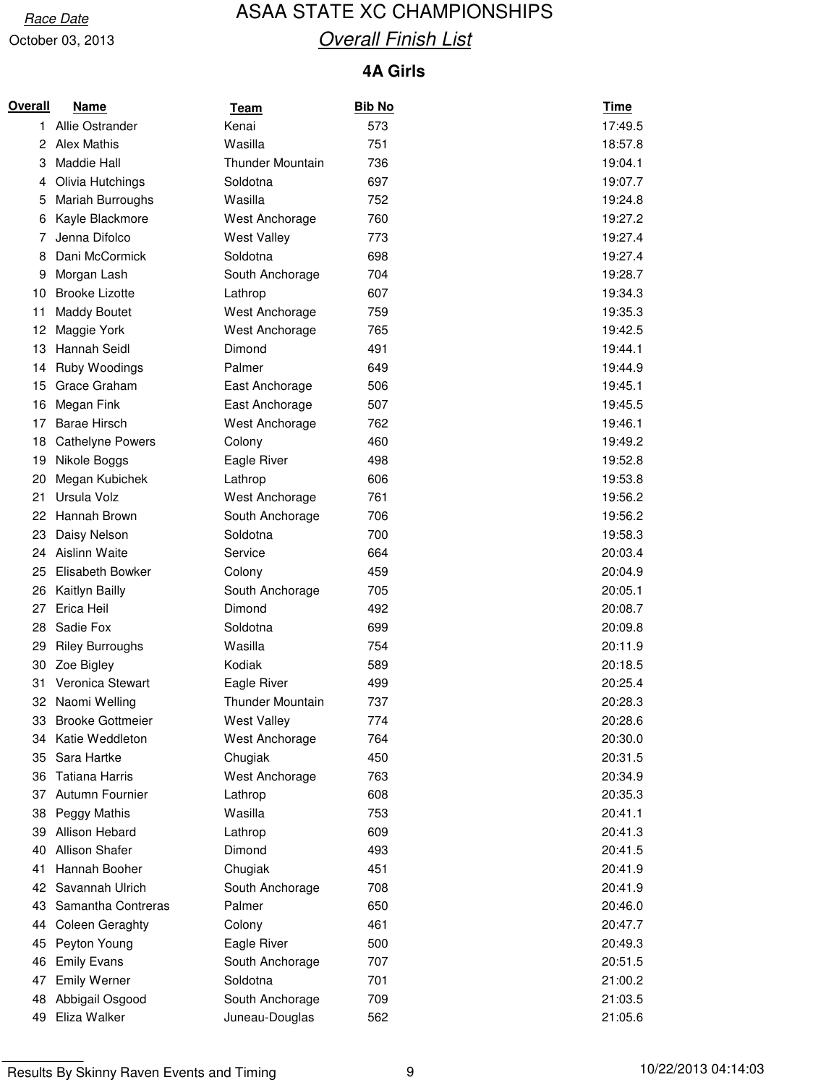### Race Date **ASAA STATE XC CHAMPIONSHIPS Overall Finish List**

#### **4A Girls**

| Overall | Name                    | <u>Team</u>             | <b>Bib No</b> | Time    |
|---------|-------------------------|-------------------------|---------------|---------|
| 1.      | Allie Ostrander         | Kenai                   | 573           | 17:49.5 |
| 2       | <b>Alex Mathis</b>      | Wasilla                 | 751           | 18:57.8 |
| 3       | <b>Maddie Hall</b>      | <b>Thunder Mountain</b> | 736           | 19:04.1 |
| 4       | Olivia Hutchings        | Soldotna                | 697           | 19:07.7 |
| 5       | Mariah Burroughs        | Wasilla                 | 752           | 19:24.8 |
| 6       | Kayle Blackmore         | West Anchorage          | 760           | 19:27.2 |
| 7       | Jenna Difolco           | <b>West Valley</b>      | 773           | 19:27.4 |
| 8       | Dani McCormick          | Soldotna                | 698           | 19:27.4 |
| 9       | Morgan Lash             | South Anchorage         | 704           | 19:28.7 |
| 10      | <b>Brooke Lizotte</b>   | Lathrop                 | 607           | 19:34.3 |
| 11      | <b>Maddy Boutet</b>     | West Anchorage          | 759           | 19:35.3 |
| 12      | Maggie York             | West Anchorage          | 765           | 19:42.5 |
| 13      | Hannah Seidl            | Dimond                  | 491           | 19:44.1 |
| 14      | Ruby Woodings           | Palmer                  | 649           | 19:44.9 |
| 15      | Grace Graham            | East Anchorage          | 506           | 19:45.1 |
| 16      | Megan Fink              | East Anchorage          | 507           | 19:45.5 |
| 17      | <b>Barae Hirsch</b>     | West Anchorage          | 762           | 19:46.1 |
| 18      | <b>Cathelyne Powers</b> | Colony                  | 460           | 19:49.2 |
| 19      | Nikole Boggs            | Eagle River             | 498           | 19:52.8 |
| 20      | Megan Kubichek          | Lathrop                 | 606           | 19:53.8 |
| 21      | Ursula Volz             | West Anchorage          | 761           | 19:56.2 |
| 22      | Hannah Brown            | South Anchorage         | 706           | 19:56.2 |
| 23      | Daisy Nelson            | Soldotna                | 700           | 19:58.3 |
| 24      | Aislinn Waite           | Service                 | 664           | 20:03.4 |
| 25      | Elisabeth Bowker        | Colony                  | 459           | 20:04.9 |
| 26      | Kaitlyn Bailly          | South Anchorage         | 705           | 20:05.1 |
| 27      | Erica Heil              | Dimond                  | 492           | 20:08.7 |
| 28      | Sadie Fox               | Soldotna                | 699           | 20:09.8 |
| 29      | <b>Riley Burroughs</b>  | Wasilla                 | 754           | 20:11.9 |
| 30      | Zoe Bigley              | Kodiak                  | 589           | 20:18.5 |
| 31      | Veronica Stewart        | Eagle River             | 499           | 20:25.4 |
| 32      | Naomi Welling           | <b>Thunder Mountain</b> | 737           | 20:28.3 |
| 33      | <b>Brooke Gottmeier</b> | <b>West Valley</b>      | 774           | 20:28.6 |
| 34      | Katie Weddleton         | West Anchorage          | 764           | 20:30.0 |
| 35      | Sara Hartke             | Chugiak                 | 450           | 20:31.5 |
| 36      | <b>Tatiana Harris</b>   | West Anchorage          | 763           | 20:34.9 |
| 37      | Autumn Fournier         | Lathrop                 | 608           | 20:35.3 |
| 38      | Peggy Mathis            | Wasilla                 | 753           | 20:41.1 |
| 39      | Allison Hebard          | Lathrop                 | 609           | 20:41.3 |
| 40      | <b>Allison Shafer</b>   | Dimond                  | 493           | 20:41.5 |
| 41      | Hannah Booher           | Chugiak                 | 451           | 20:41.9 |
| 42      | Savannah Ulrich         | South Anchorage         | 708           | 20:41.9 |
| 43      | Samantha Contreras      | Palmer                  | 650           | 20:46.0 |
| 44      | <b>Coleen Geraghty</b>  | Colony                  | 461           | 20:47.7 |
| 45      | Peyton Young            | Eagle River             | 500           | 20:49.3 |
| 46      | <b>Emily Evans</b>      | South Anchorage         | 707           | 20:51.5 |
| 47      | <b>Emily Werner</b>     | Soldotna                | 701           | 21:00.2 |
| 48      | Abbigail Osgood         | South Anchorage         | 709           | 21:03.5 |
| 49      | Eliza Walker            | Juneau-Douglas          | 562           | 21:05.6 |